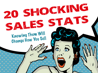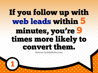## If you follow up with web leads within 5 minutes, you're 9 times more likely to convert them.

Source: InsideSales.com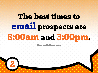# The best times to email prospects are 8:00am and 3:00pm.

Source: GetResponse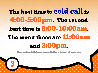### The best time to cold call is 4:00-5:00pm. The second best time is 8:00-10:00am. The worst times are 11:00am

![](_page_3_Picture_1.jpeg)

Source: InsideSales.com and Kellogg School of Business 3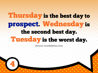### Thursday is the best day to prospect. Wednesday is the second best day.

### uesday is the worst day.

Source: InsideSales.com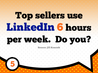# Top sellers use LinkedIn 6 hours

# per week. Do you?

5

#### Source: Jill Konrath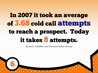### In 2007 it took an average of 3.68 cold call attempts to reach a prospect. Today

### it takes 8 attempts.

Source: TeleNet and Ovation Sales Group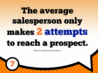# The average salesperson only makes 2 attempts

## to reach a prospect.

Source: Sirius Decisions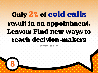### Only 2% of cold calls result in an appointment. Lesson: Find new ways to reach decision-makers

Source: Leap Job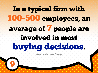# In a typical firm with 100-500 employees, an average of 7 people are involved in most buying decisions. Source: Gartner Group 9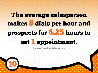### The average salesperson makes 8 dials per hour and prospects for 6.25 hours to

### set 1 appointment.

#### Source: Ovation Sales Group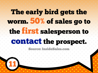## The early bird gets the worm. 50% of sales go to the first salesperson to

### contact the prospect.

#### Source: InsideSales.com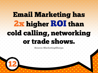### Email Marketing has 2x higher ROI than cold calling, networking or trade shows.

#### Source: MarketingSherpa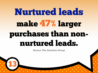# Nurtured leads make 47% larger purchases than nonnurtured leads.

Source: The Annuitas Group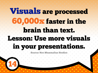## Visuals are processed 60,000x faster in the brain than text. Lesson: Use more visuals in your presentations.

Source: Neo Mammalian Studios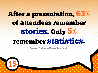### After a presentation, 63% of attendees remember stories. Only 5%

### remember statistics.

15

Source: Authors Chip & Dan Heath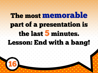## The most memorable part of a presentation is the last 5 minutes.

### Lesson: End with a bang!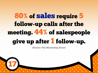### 80% of sales require 5 follow-up calls after the meeting. 44% of salespeople

### give up after 1 follow-up.

#### Source: The Marketing Donut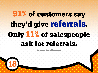## 91% of customers say they'd give referrals. Only 11% of salespeople ask for referrals.

Source: Dale Carnegie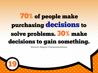### 70% of people make purchasing decisions to solve problems. 30% make decisions to gain something.

**Source: Impact Communications**